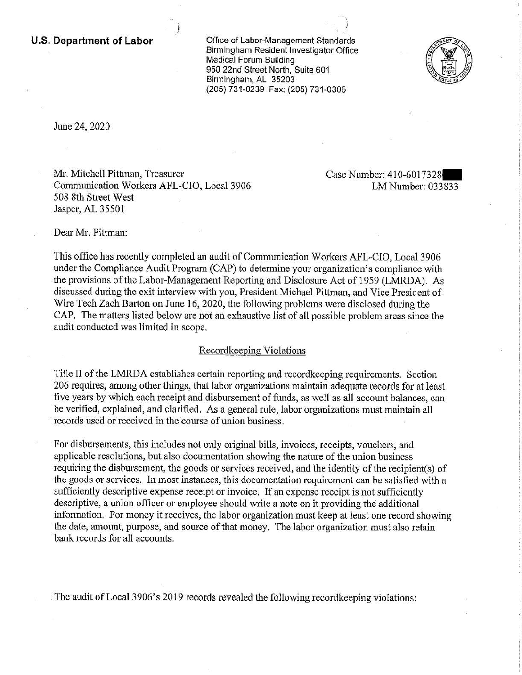**U.S. Department of Labor Conservative Conservation Conservative Conservation** Birmingham Resident Investigator Office Medical Forum Building 950 22nd Street North, Suite 601 Birmingham, AL 35203 (205) 731-0239 Fax; (205} 731-0305

·····.., J



June 24, 2020

Mr. Mitchell Pittman, Treasurer Case Number: 410-6017328 Communication Workers AFL-CIO, Local 3906 LM Number: 033833 508 8th Street West Jasper, AL 35501

Dear Mr. Pittman:

This office has recently completed an audit of Communication Workers AFL-CIO, Local 3906 under the Compliance Audit Program (CAP) to determine your organization's compliance with the provisions of the Labor-Management Reporting and Disclosure Act of 1959 (LMRDA). As discussed during the exit interview with you, President Michael Pittman, and Vice President of Wire Tech Zach Barton on June 16, 2020, the following problems were disclosed during the CAP. The matters listed below are not an exhaustive list of all possible problem areas since the audit conducted was limited in scope.

# Recordkeeping Violations

Title II of the LMRDA establishes certain reporting and recordkeeping requirements. Section 206 requires, among other things, that labor organizations maintain adequate records for at least five years by which each receipt and disbursement of funds, as well as all account balances, can be verified, explained, and clarified. As a general rule, labor organizations must maintain all records used or received in the course of union business.

For disbursements, this includes not only original bills, invoices, receipts, vouchers, and applicable resolutions, but also documentation showing the nature of the union business requiring the disbursement, the goods or services received, and the identity of the recipient(s) of the goods or services. In most instances, this documentation requirement can be satisfied with a sufficiently descriptive expense receipt or invoice. If an expense receipt is not sufficiently descriptive, a union officer or employee should write a note on it providing the additional information. For money it receives, the labor organization must keep at least one record showing the date, amount, purpose, and source of that money. The labor organization must also retain bank records for all accounts.

. The audit of Local 3906's 2019 records revealed the following recordkeeping violations: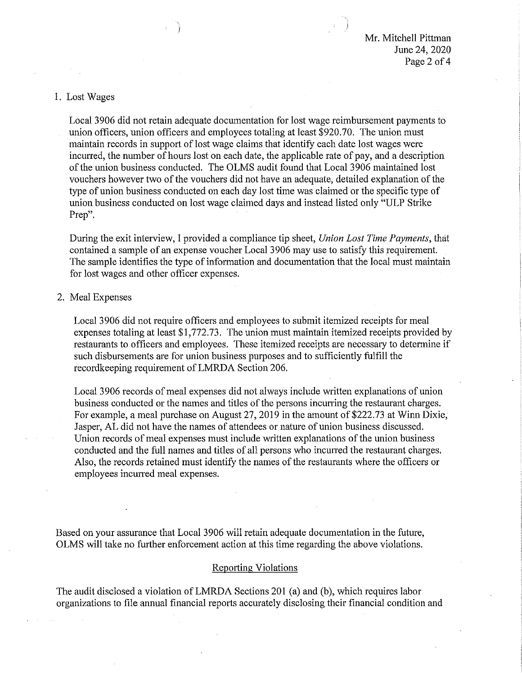#### I. Lost Wages

Local 3906 did not retain adequate documentation for lost wage reimbursement payments to union officers, union officers and employees totaling at least \$920.70. The union must maintain records in support of lost wage claims that identify each date lost wages were incurred, the number of hours lost on each date, the applicable rate of pay, and a description of the union business conducted. The OLMS audit found that Local 3906 maintained lost vouchers however two of the vouchers did not have an adequate, detailed explanation of the type of union business conducted on each day lost time was claimed or the specific type of union business conducted on lost wage claimed days and instead listed only "ULP Strike Prep".

During the exit interview, I provided a compliance tip sheet, *Union Lost Time Payments,* that contained a sample of an expense voucher Local 3 906 may use to satisfy this requirement. The sample identifies the type of information and documentation that the local must maintain for lost wages and other officer expenses.

## 2. Meal Expenses

Local 3906 did not require officers and employees to submit itemized receipts for meal expenses totaling at least \$[1,772.73](https://1,772.73). The union must maintain itemized receipts provided by restaurants to officers and employees. These itemized receipts are necessary to determine if such disbursements are for union business purposes and to sufficiently fulfill the recordkeeping requirement ofLMRDA Section 206.

Local 3906 records of meal expenses did not always include written explanations of union business conducted or the names and titles of the persons incurring the restaurant charges. For example, a meal purchase on August 27, 2019 in the amount of \$222.73 at Winn Dixie, Jasper, AL did not have the names of attendees or nature of union business discussed. Union records of meal expenses must include written explanations of the union business conducted and the full names and titles of all persons who incurred the restaurant charges. Also, the records retained must identify the names of the restaurants where the officers or employees incurred meal expenses.

Based on your assurance that Local 3906 will retain adequate documentation in the future, OLMS will take no further enforcement action at this time regarding the above violations.

#### Reporting Violations

The audit disclosed a violation of LMRDA Sections 201 (a) and (b), which requires labor organizations to file annual financial reports accurately disclosing their financial condition and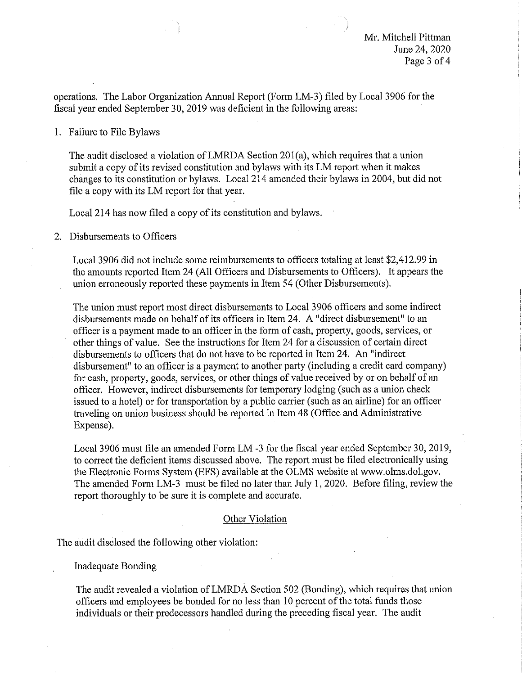operations. The Labor Organization Annual Report (Form LM-3) filed by Local 3906 for the fiscal year ended September 30, 2019 was deficient in the following areas:

1. Failure to File Bylaws

The audit disclosed a violation ofLMRDA Section 201(a), which requires that a union submit a copy of its revised constitution and bylaws with its LM report when it makes changes to its constitution or bylaws. Local 214 amended their bylaws in 2004, but did not file a copy with its LM report for that year.

Local 214 has now filed a copy of its constitution and bylaws.

2. Disbursements to Officers

Local 3906 did not include some reimbursements to officers totaling at least \$[2,412.99](https://2,412.99) in the amounts reported Item 24 (All Officers and Disbursements to Officers). It appears the union erroneously reported these payments in Item 54 (Other Disbursements).

The union must report most direct disbursements to Local 3906 officers and some indirect disbursements made on behalf of.its officers in Item 24. A "direct disbursement" to an officer is a payment made to an officer in the form of cash, property, goods, services, or other things of value. See the instructions for Item 24 for a discussion of certain direct disbursements to officers that do not have to be reported in Item 24. An "indirect disbursement" to an officer is a payment to another party (including a credit card company) for cash, propetiy, goods, services, or other things of value received by or on behalf of an officer. However, indirect disbursements for temporary lodging (such as a union check issued to a hotel) or for transportation by a public carrier (such as an airline) for an officer traveling on union business should be reported in Item 48 (Office and Administrative Expense).

Local 3906 must file an amended Form LM -3 for the fiscal year ended September 30, 2019, to correct the deficient items discussed above. The report must be filed electronically using the Electronic Forms System (EFS) available at the OLMS website at <www.olms.dol.gov>. The amended Form LM-3 must be filed no later than July 1, 2020. Before filing, review the report thoroughly to be sure it is complete and accurate.

## Other Violation

The audit disclosed the following other violation:

Inadequate Bonding

The audit revealed a violation of LMRDA Section 502 (Bonding), which requires that union officers and employees be bonded for no less than 10 percent of the total funds those individuals or their predecessors handled during the preceding fiscal year. The audit